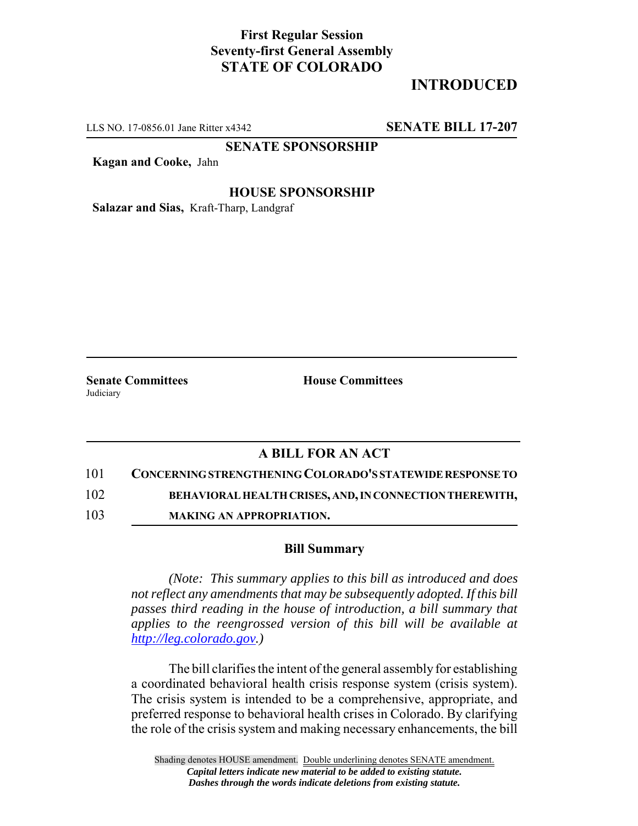## **First Regular Session Seventy-first General Assembly STATE OF COLORADO**

# **INTRODUCED**

LLS NO. 17-0856.01 Jane Ritter x4342 **SENATE BILL 17-207**

**SENATE SPONSORSHIP**

**Kagan and Cooke,** Jahn

#### **HOUSE SPONSORSHIP**

**Salazar and Sias,** Kraft-Tharp, Landgraf

**Judiciary** 

**Senate Committees House Committees** 

### **A BILL FOR AN ACT**

101 **CONCERNING STRENGTHENING COLORADO'S STATEWIDE RESPONSE TO**

102 **BEHAVIORAL HEALTH CRISES, AND, IN CONNECTION THEREWITH,**

103 **MAKING AN APPROPRIATION.**

#### **Bill Summary**

*(Note: This summary applies to this bill as introduced and does not reflect any amendments that may be subsequently adopted. If this bill passes third reading in the house of introduction, a bill summary that applies to the reengrossed version of this bill will be available at http://leg.colorado.gov.)*

The bill clarifies the intent of the general assembly for establishing a coordinated behavioral health crisis response system (crisis system). The crisis system is intended to be a comprehensive, appropriate, and preferred response to behavioral health crises in Colorado. By clarifying the role of the crisis system and making necessary enhancements, the bill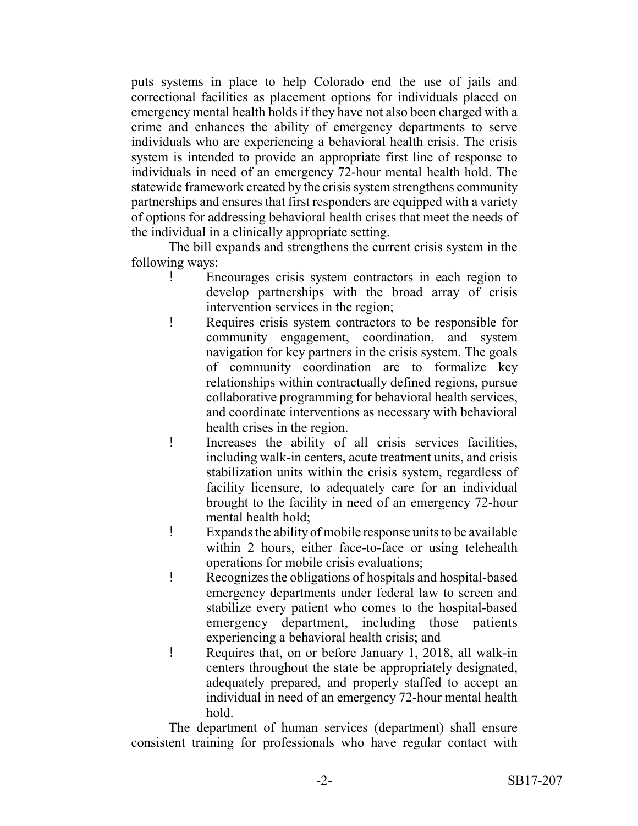puts systems in place to help Colorado end the use of jails and correctional facilities as placement options for individuals placed on emergency mental health holds if they have not also been charged with a crime and enhances the ability of emergency departments to serve individuals who are experiencing a behavioral health crisis. The crisis system is intended to provide an appropriate first line of response to individuals in need of an emergency 72-hour mental health hold. The statewide framework created by the crisis system strengthens community partnerships and ensures that first responders are equipped with a variety of options for addressing behavioral health crises that meet the needs of the individual in a clinically appropriate setting.

The bill expands and strengthens the current crisis system in the following ways:

- ! Encourages crisis system contractors in each region to develop partnerships with the broad array of crisis intervention services in the region;
- ! Requires crisis system contractors to be responsible for community engagement, coordination, and system navigation for key partners in the crisis system. The goals of community coordination are to formalize key relationships within contractually defined regions, pursue collaborative programming for behavioral health services, and coordinate interventions as necessary with behavioral health crises in the region.
- ! Increases the ability of all crisis services facilities, including walk-in centers, acute treatment units, and crisis stabilization units within the crisis system, regardless of facility licensure, to adequately care for an individual brought to the facility in need of an emergency 72-hour mental health hold;
- ! Expands the ability of mobile response units to be available within 2 hours, either face-to-face or using telehealth operations for mobile crisis evaluations;
- ! Recognizes the obligations of hospitals and hospital-based emergency departments under federal law to screen and stabilize every patient who comes to the hospital-based emergency department, including those patients experiencing a behavioral health crisis; and
- ! Requires that, on or before January 1, 2018, all walk-in centers throughout the state be appropriately designated, adequately prepared, and properly staffed to accept an individual in need of an emergency 72-hour mental health hold.

The department of human services (department) shall ensure consistent training for professionals who have regular contact with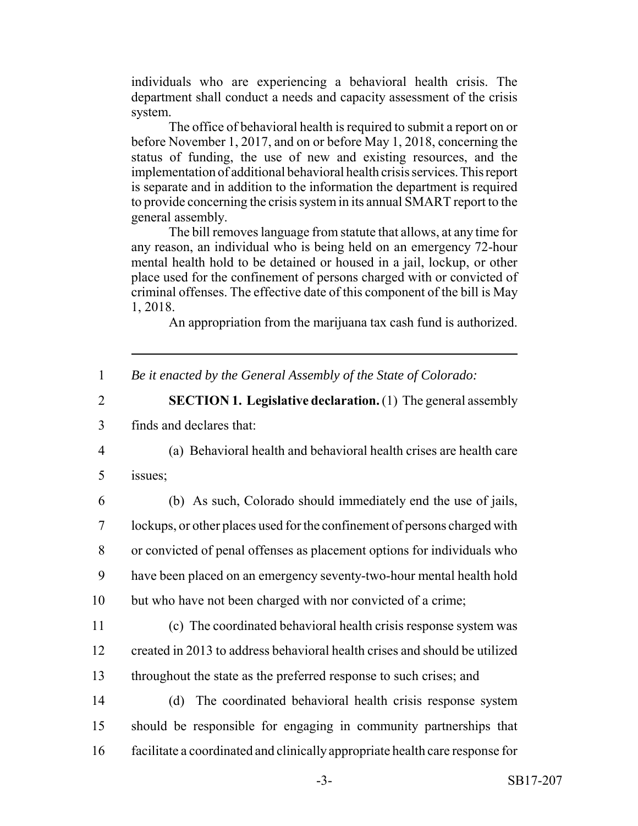individuals who are experiencing a behavioral health crisis. The department shall conduct a needs and capacity assessment of the crisis system.

The office of behavioral health is required to submit a report on or before November 1, 2017, and on or before May 1, 2018, concerning the status of funding, the use of new and existing resources, and the implementation of additional behavioral health crisis services. This report is separate and in addition to the information the department is required to provide concerning the crisis system in its annual SMART report to the general assembly.

The bill removes language from statute that allows, at any time for any reason, an individual who is being held on an emergency 72-hour mental health hold to be detained or housed in a jail, lockup, or other place used for the confinement of persons charged with or convicted of criminal offenses. The effective date of this component of the bill is May 1, 2018.

An appropriation from the marijuana tax cash fund is authorized.

- 1 *Be it enacted by the General Assembly of the State of Colorado:*
- 2 **SECTION 1. Legislative declaration.** (1) The general assembly 3 finds and declares that:
- 4 (a) Behavioral health and behavioral health crises are health care 5 issues;

 (b) As such, Colorado should immediately end the use of jails, lockups, or other places used for the confinement of persons charged with or convicted of penal offenses as placement options for individuals who have been placed on an emergency seventy-two-hour mental health hold but who have not been charged with nor convicted of a crime;

- 11 (c) The coordinated behavioral health crisis response system was 12 created in 2013 to address behavioral health crises and should be utilized 13 throughout the state as the preferred response to such crises; and
- 14 (d) The coordinated behavioral health crisis response system 15 should be responsible for engaging in community partnerships that 16 facilitate a coordinated and clinically appropriate health care response for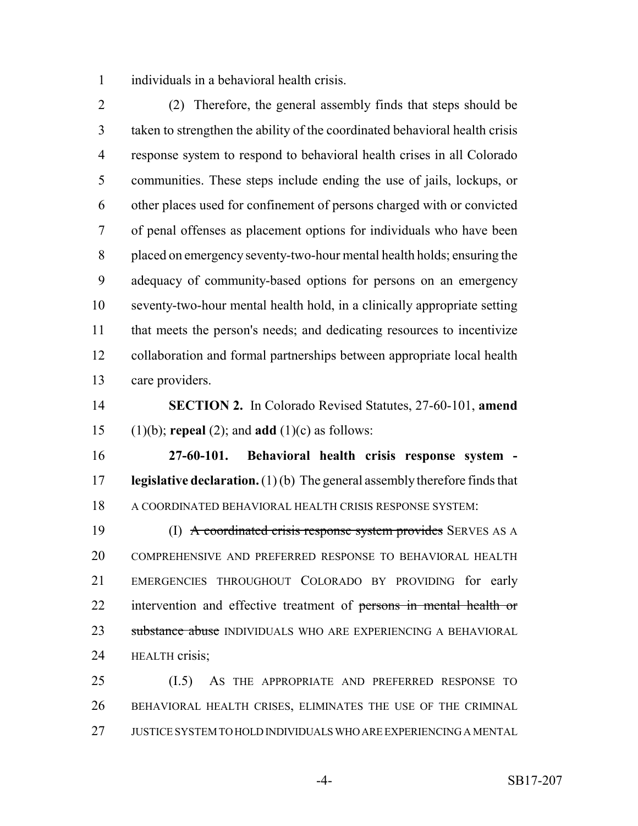individuals in a behavioral health crisis.

 (2) Therefore, the general assembly finds that steps should be taken to strengthen the ability of the coordinated behavioral health crisis response system to respond to behavioral health crises in all Colorado communities. These steps include ending the use of jails, lockups, or other places used for confinement of persons charged with or convicted of penal offenses as placement options for individuals who have been placed on emergency seventy-two-hour mental health holds; ensuring the adequacy of community-based options for persons on an emergency seventy-two-hour mental health hold, in a clinically appropriate setting that meets the person's needs; and dedicating resources to incentivize collaboration and formal partnerships between appropriate local health care providers.

 **SECTION 2.** In Colorado Revised Statutes, 27-60-101, **amend** (1)(b); **repeal** (2); and **add** (1)(c) as follows:

 **27-60-101. Behavioral health crisis response system - legislative declaration.** (1) (b) The general assembly therefore finds that A COORDINATED BEHAVIORAL HEALTH CRISIS RESPONSE SYSTEM:

19 (I) A coordinated crisis response system provides SERVES AS A COMPREHENSIVE AND PREFERRED RESPONSE TO BEHAVIORAL HEALTH EMERGENCIES THROUGHOUT COLORADO BY PROVIDING for early intervention and effective treatment of persons in mental health or 23 substance abuse INDIVIDUALS WHO ARE EXPERIENCING A BEHAVIORAL HEALTH crisis;

 (I.5) AS THE APPROPRIATE AND PREFERRED RESPONSE TO BEHAVIORAL HEALTH CRISES, ELIMINATES THE USE OF THE CRIMINAL JUSTICE SYSTEM TO HOLD INDIVIDUALS WHO ARE EXPERIENCING A MENTAL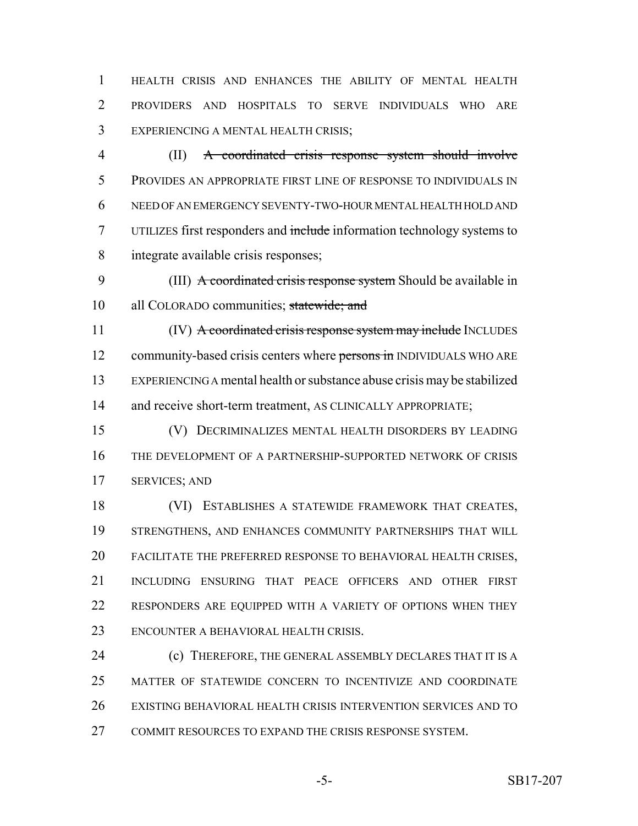HEALTH CRISIS AND ENHANCES THE ABILITY OF MENTAL HEALTH PROVIDERS AND HOSPITALS TO SERVE INDIVIDUALS WHO ARE EXPERIENCING A MENTAL HEALTH CRISIS;

 (II) A coordinated crisis response system should involve PROVIDES AN APPROPRIATE FIRST LINE OF RESPONSE TO INDIVIDUALS IN NEED OF AN EMERGENCY SEVENTY-TWO-HOUR MENTAL HEALTH HOLD AND UTILIZES first responders and include information technology systems to integrate available crisis responses;

 (III) A coordinated crisis response system Should be available in 10 all COLORADO communities; statewide; and

11 (IV) A coordinated crisis response system may include INCLUDES 12 community-based crisis centers where persons in INDIVIDUALS WHO ARE EXPERIENCING A mental health or substance abuse crisis may be stabilized 14 and receive short-term treatment, AS CLINICALLY APPROPRIATE;

 (V) DECRIMINALIZES MENTAL HEALTH DISORDERS BY LEADING THE DEVELOPMENT OF A PARTNERSHIP-SUPPORTED NETWORK OF CRISIS SERVICES; AND

 (VI) ESTABLISHES A STATEWIDE FRAMEWORK THAT CREATES, STRENGTHENS, AND ENHANCES COMMUNITY PARTNERSHIPS THAT WILL FACILITATE THE PREFERRED RESPONSE TO BEHAVIORAL HEALTH CRISES, INCLUDING ENSURING THAT PEACE OFFICERS AND OTHER FIRST RESPONDERS ARE EQUIPPED WITH A VARIETY OF OPTIONS WHEN THEY ENCOUNTER A BEHAVIORAL HEALTH CRISIS.

**(c) THEREFORE, THE GENERAL ASSEMBLY DECLARES THAT IT IS A**  MATTER OF STATEWIDE CONCERN TO INCENTIVIZE AND COORDINATE EXISTING BEHAVIORAL HEALTH CRISIS INTERVENTION SERVICES AND TO COMMIT RESOURCES TO EXPAND THE CRISIS RESPONSE SYSTEM.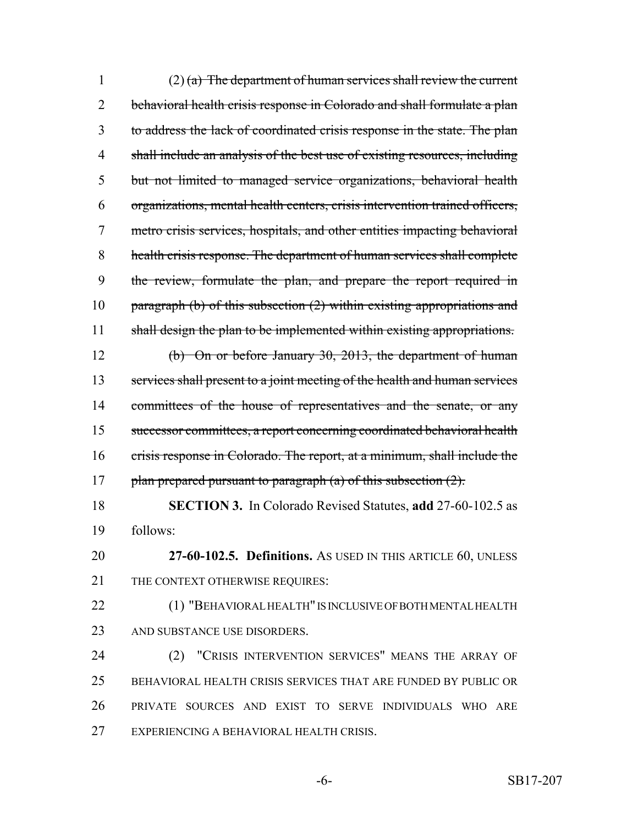1 (2) (a) The department of human services shall review the current 2 behavioral health crisis response in Colorado and shall formulate a plan to address the lack of coordinated crisis response in the state. The plan shall include an analysis of the best use of existing resources, including but not limited to managed service organizations, behavioral health organizations, mental health centers, crisis intervention trained officers, metro crisis services, hospitals, and other entities impacting behavioral health crisis response. The department of human services shall complete the review, formulate the plan, and prepare the report required in 10 paragraph (b) of this subsection (2) within existing appropriations and 11 shall design the plan to be implemented within existing appropriations. (b) On or before January 30, 2013, the department of human services shall present to a joint meeting of the health and human services 14 committees of the house of representatives and the senate, or any successor committees, a report concerning coordinated behavioral health crisis response in Colorado. The report, at a minimum, shall include the 17 plan prepared pursuant to paragraph (a) of this subsection  $(2)$ . **SECTION 3.** In Colorado Revised Statutes, **add** 27-60-102.5 as follows: **27-60-102.5. Definitions.** AS USED IN THIS ARTICLE 60, UNLESS 21 THE CONTEXT OTHERWISE REQUIRES: (1) "BEHAVIORAL HEALTH" IS INCLUSIVE OF BOTH MENTAL HEALTH AND SUBSTANCE USE DISORDERS. (2) "CRISIS INTERVENTION SERVICES" MEANS THE ARRAY OF BEHAVIORAL HEALTH CRISIS SERVICES THAT ARE FUNDED BY PUBLIC OR PRIVATE SOURCES AND EXIST TO SERVE INDIVIDUALS WHO ARE EXPERIENCING A BEHAVIORAL HEALTH CRISIS.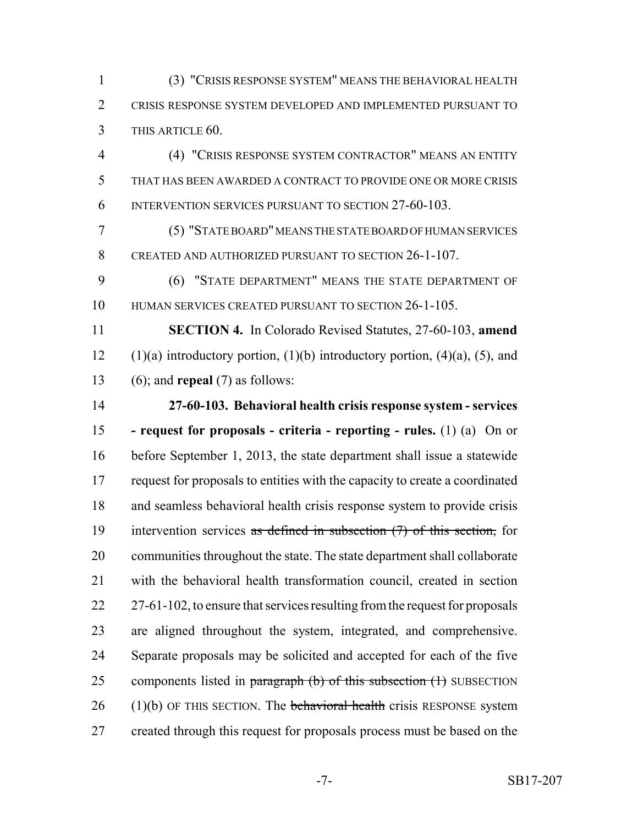(3) "CRISIS RESPONSE SYSTEM" MEANS THE BEHAVIORAL HEALTH CRISIS RESPONSE SYSTEM DEVELOPED AND IMPLEMENTED PURSUANT TO THIS ARTICLE 60.

 (4) "CRISIS RESPONSE SYSTEM CONTRACTOR" MEANS AN ENTITY THAT HAS BEEN AWARDED A CONTRACT TO PROVIDE ONE OR MORE CRISIS INTERVENTION SERVICES PURSUANT TO SECTION 27-60-103.

 (5) "STATE BOARD" MEANS THE STATE BOARD OF HUMAN SERVICES CREATED AND AUTHORIZED PURSUANT TO SECTION 26-1-107.

 (6) "STATE DEPARTMENT" MEANS THE STATE DEPARTMENT OF HUMAN SERVICES CREATED PURSUANT TO SECTION 26-1-105.

 **SECTION 4.** In Colorado Revised Statutes, 27-60-103, **amend** 12 (1)(a) introductory portion, (1)(b) introductory portion, (4)(a), (5), and (6); and **repeal** (7) as follows:

 **27-60-103. Behavioral health crisis response system - services - request for proposals - criteria - reporting - rules.** (1) (a) On or before September 1, 2013, the state department shall issue a statewide request for proposals to entities with the capacity to create a coordinated and seamless behavioral health crisis response system to provide crisis 19 intervention services as defined in subsection (7) of this section, for communities throughout the state. The state department shall collaborate with the behavioral health transformation council, created in section 22 27-61-102, to ensure that services resulting from the request for proposals are aligned throughout the system, integrated, and comprehensive. Separate proposals may be solicited and accepted for each of the five 25 components listed in paragraph (b) of this subsection (1) SUBSECTION 26 (1)(b) OF THIS SECTION. The behavioral health crisis RESPONSE system 27 created through this request for proposals process must be based on the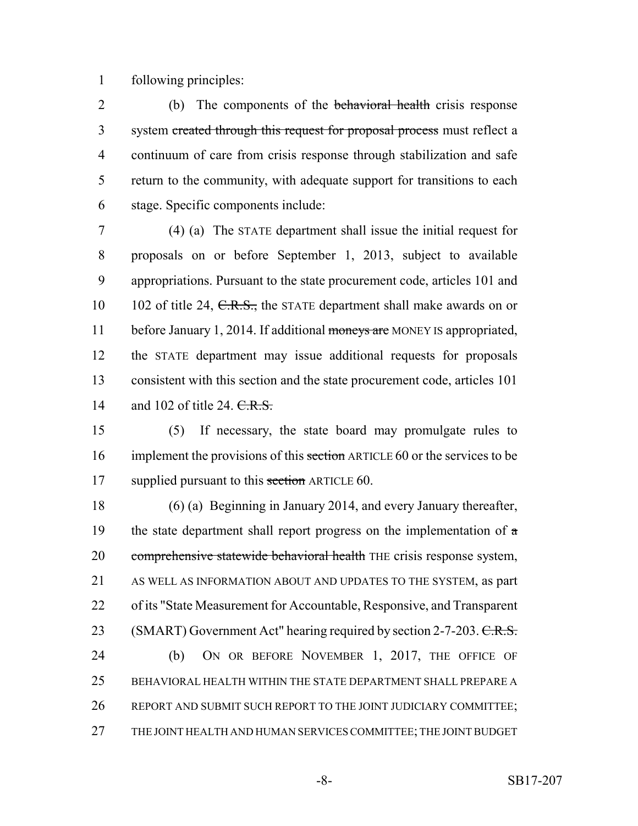following principles:

2 (b) The components of the behavioral health crisis response 3 system created through this request for proposal process must reflect a continuum of care from crisis response through stabilization and safe return to the community, with adequate support for transitions to each stage. Specific components include:

 (4) (a) The STATE department shall issue the initial request for proposals on or before September 1, 2013, subject to available appropriations. Pursuant to the state procurement code, articles 101 and 10 102 of title 24, C.R.S., the STATE department shall make awards on or 11 before January 1, 2014. If additional moneys are MONEY IS appropriated, the STATE department may issue additional requests for proposals consistent with this section and the state procurement code, articles 101 14 and 102 of title 24. C.R.S.

 (5) If necessary, the state board may promulgate rules to 16 implement the provisions of this section ARTICLE 60 or the services to be 17 supplied pursuant to this section ARTICLE 60.

 (6) (a) Beginning in January 2014, and every January thereafter, 19 the state department shall report progress on the implementation of  $\alpha$ 20 comprehensive statewide behavioral health THE crisis response system, AS WELL AS INFORMATION ABOUT AND UPDATES TO THE SYSTEM, as part of its "State Measurement for Accountable, Responsive, and Transparent 23 (SMART) Government Act" hearing required by section 2-7-203. C.R.S. (b) ON OR BEFORE NOVEMBER 1, 2017, THE OFFICE OF BEHAVIORAL HEALTH WITHIN THE STATE DEPARTMENT SHALL PREPARE A REPORT AND SUBMIT SUCH REPORT TO THE JOINT JUDICIARY COMMITTEE; THE JOINT HEALTH AND HUMAN SERVICES COMMITTEE; THE JOINT BUDGET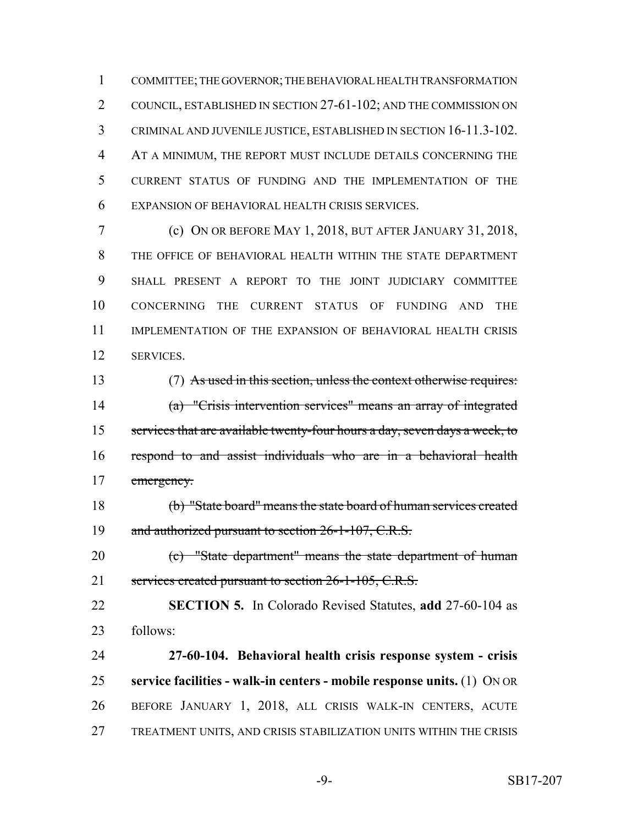COMMITTEE; THE GOVERNOR; THE BEHAVIORAL HEALTH TRANSFORMATION COUNCIL, ESTABLISHED IN SECTION 27-61-102; AND THE COMMISSION ON CRIMINAL AND JUVENILE JUSTICE, ESTABLISHED IN SECTION 16-11.3-102. AT A MINIMUM, THE REPORT MUST INCLUDE DETAILS CONCERNING THE CURRENT STATUS OF FUNDING AND THE IMPLEMENTATION OF THE EXPANSION OF BEHAVIORAL HEALTH CRISIS SERVICES.

 (c) ON OR BEFORE MAY 1, 2018, BUT AFTER JANUARY 31, 2018, THE OFFICE OF BEHAVIORAL HEALTH WITHIN THE STATE DEPARTMENT SHALL PRESENT A REPORT TO THE JOINT JUDICIARY COMMITTEE CONCERNING THE CURRENT STATUS OF FUNDING AND THE IMPLEMENTATION OF THE EXPANSION OF BEHAVIORAL HEALTH CRISIS SERVICES.

 (7) As used in this section, unless the context otherwise requires: (a) "Crisis intervention services" means an array of integrated services that are available twenty-four hours a day, seven days a week, to respond to and assist individuals who are in a behavioral health 17 emergency.

 (b) "State board" means the state board of human services created 19 and authorized pursuant to section 26-1-107, C.R.S.

 (c) "State department" means the state department of human 21 services created pursuant to section 26-1-105, C.R.S.

 **SECTION 5.** In Colorado Revised Statutes, **add** 27-60-104 as follows:

 **27-60-104. Behavioral health crisis response system - crisis service facilities - walk-in centers - mobile response units.** (1) ON OR BEFORE JANUARY 1, 2018, ALL CRISIS WALK-IN CENTERS, ACUTE TREATMENT UNITS, AND CRISIS STABILIZATION UNITS WITHIN THE CRISIS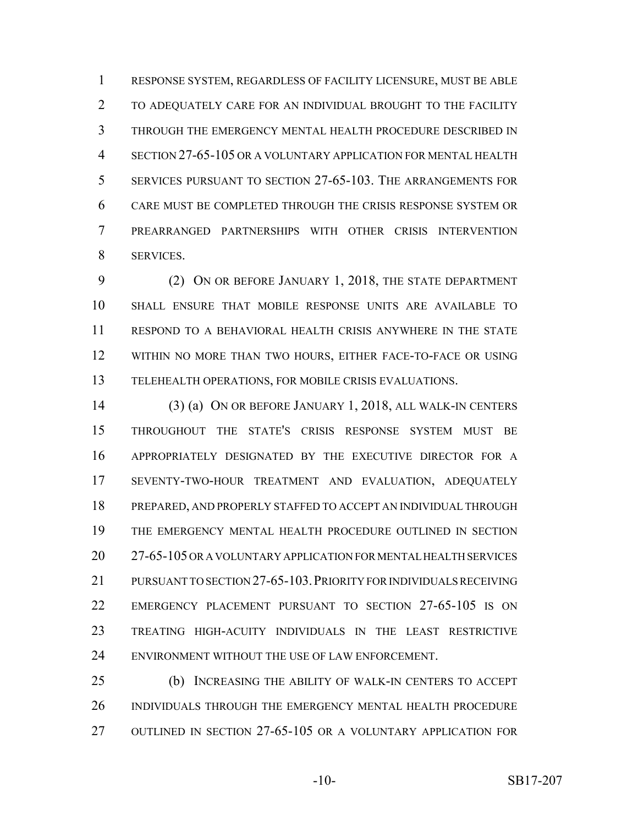RESPONSE SYSTEM, REGARDLESS OF FACILITY LICENSURE, MUST BE ABLE TO ADEQUATELY CARE FOR AN INDIVIDUAL BROUGHT TO THE FACILITY THROUGH THE EMERGENCY MENTAL HEALTH PROCEDURE DESCRIBED IN SECTION 27-65-105 OR A VOLUNTARY APPLICATION FOR MENTAL HEALTH SERVICES PURSUANT TO SECTION 27-65-103. THE ARRANGEMENTS FOR CARE MUST BE COMPLETED THROUGH THE CRISIS RESPONSE SYSTEM OR PREARRANGED PARTNERSHIPS WITH OTHER CRISIS INTERVENTION SERVICES.

 (2) ON OR BEFORE JANUARY 1, 2018, THE STATE DEPARTMENT SHALL ENSURE THAT MOBILE RESPONSE UNITS ARE AVAILABLE TO RESPOND TO A BEHAVIORAL HEALTH CRISIS ANYWHERE IN THE STATE WITHIN NO MORE THAN TWO HOURS, EITHER FACE-TO-FACE OR USING TELEHEALTH OPERATIONS, FOR MOBILE CRISIS EVALUATIONS.

 (3) (a) ON OR BEFORE JANUARY 1, 2018, ALL WALK-IN CENTERS THROUGHOUT THE STATE'S CRISIS RESPONSE SYSTEM MUST BE APPROPRIATELY DESIGNATED BY THE EXECUTIVE DIRECTOR FOR A SEVENTY-TWO-HOUR TREATMENT AND EVALUATION, ADEQUATELY PREPARED, AND PROPERLY STAFFED TO ACCEPT AN INDIVIDUAL THROUGH THE EMERGENCY MENTAL HEALTH PROCEDURE OUTLINED IN SECTION 27-65-105 OR A VOLUNTARY APPLICATION FOR MENTAL HEALTH SERVICES PURSUANT TO SECTION 27-65-103.PRIORITY FOR INDIVIDUALS RECEIVING EMERGENCY PLACEMENT PURSUANT TO SECTION 27-65-105 IS ON TREATING HIGH-ACUITY INDIVIDUALS IN THE LEAST RESTRICTIVE ENVIRONMENT WITHOUT THE USE OF LAW ENFORCEMENT.

 (b) INCREASING THE ABILITY OF WALK-IN CENTERS TO ACCEPT INDIVIDUALS THROUGH THE EMERGENCY MENTAL HEALTH PROCEDURE OUTLINED IN SECTION 27-65-105 OR A VOLUNTARY APPLICATION FOR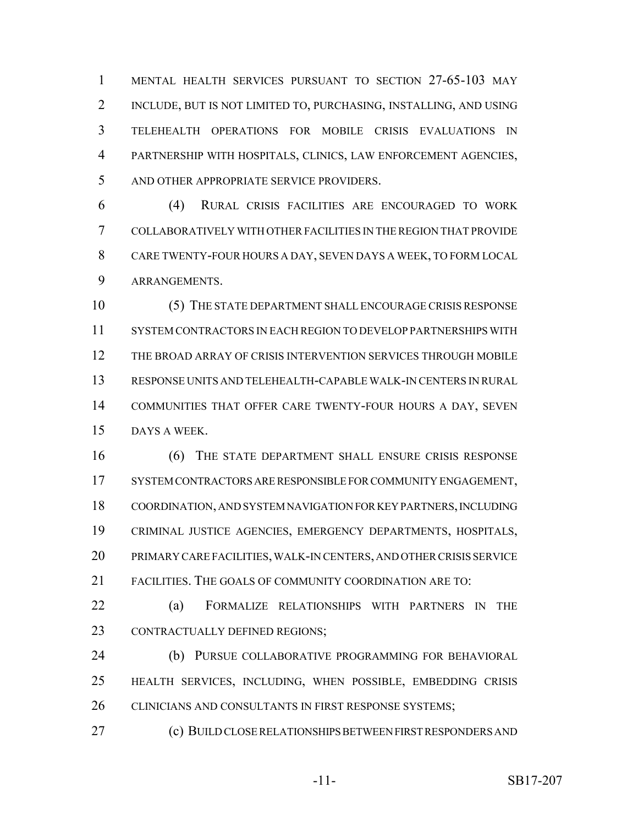MENTAL HEALTH SERVICES PURSUANT TO SECTION 27-65-103 MAY INCLUDE, BUT IS NOT LIMITED TO, PURCHASING, INSTALLING, AND USING TELEHEALTH OPERATIONS FOR MOBILE CRISIS EVALUATIONS IN PARTNERSHIP WITH HOSPITALS, CLINICS, LAW ENFORCEMENT AGENCIES, AND OTHER APPROPRIATE SERVICE PROVIDERS.

 (4) RURAL CRISIS FACILITIES ARE ENCOURAGED TO WORK COLLABORATIVELY WITH OTHER FACILITIES IN THE REGION THAT PROVIDE CARE TWENTY-FOUR HOURS A DAY, SEVEN DAYS A WEEK, TO FORM LOCAL ARRANGEMENTS.

 (5) THE STATE DEPARTMENT SHALL ENCOURAGE CRISIS RESPONSE SYSTEM CONTRACTORS IN EACH REGION TO DEVELOP PARTNERSHIPS WITH THE BROAD ARRAY OF CRISIS INTERVENTION SERVICES THROUGH MOBILE RESPONSE UNITS AND TELEHEALTH-CAPABLE WALK-IN CENTERS IN RURAL COMMUNITIES THAT OFFER CARE TWENTY-FOUR HOURS A DAY, SEVEN DAYS A WEEK.

 (6) THE STATE DEPARTMENT SHALL ENSURE CRISIS RESPONSE SYSTEM CONTRACTORS ARE RESPONSIBLE FOR COMMUNITY ENGAGEMENT, COORDINATION, AND SYSTEM NAVIGATION FOR KEY PARTNERS, INCLUDING CRIMINAL JUSTICE AGENCIES, EMERGENCY DEPARTMENTS, HOSPITALS, PRIMARY CARE FACILITIES, WALK-IN CENTERS, AND OTHER CRISIS SERVICE FACILITIES. THE GOALS OF COMMUNITY COORDINATION ARE TO:

 (a) FORMALIZE RELATIONSHIPS WITH PARTNERS IN THE CONTRACTUALLY DEFINED REGIONS;

 (b) PURSUE COLLABORATIVE PROGRAMMING FOR BEHAVIORAL HEALTH SERVICES, INCLUDING, WHEN POSSIBLE, EMBEDDING CRISIS 26 CLINICIANS AND CONSULTANTS IN FIRST RESPONSE SYSTEMS;

(c) BUILD CLOSE RELATIONSHIPS BETWEEN FIRST RESPONDERS AND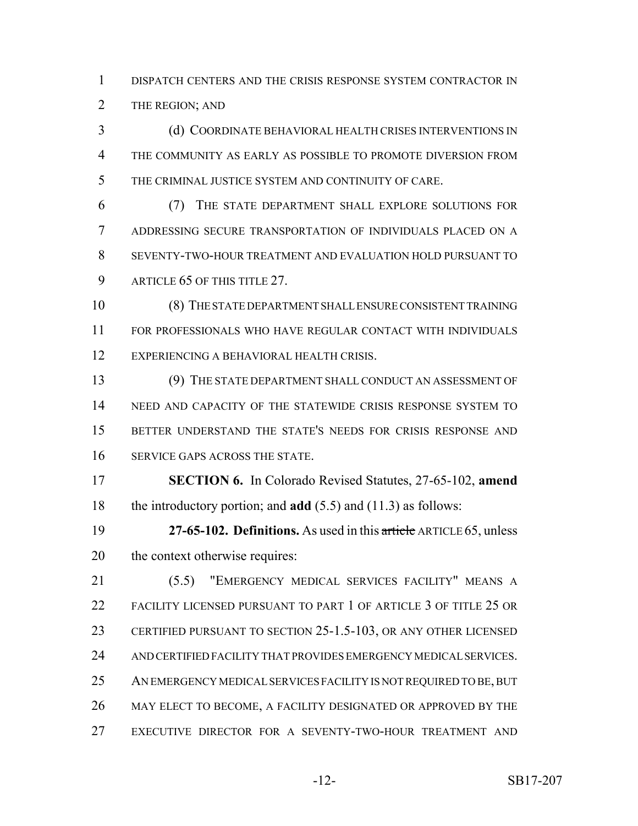DISPATCH CENTERS AND THE CRISIS RESPONSE SYSTEM CONTRACTOR IN 2 THE REGION; AND

 (d) COORDINATE BEHAVIORAL HEALTH CRISES INTERVENTIONS IN THE COMMUNITY AS EARLY AS POSSIBLE TO PROMOTE DIVERSION FROM THE CRIMINAL JUSTICE SYSTEM AND CONTINUITY OF CARE.

 (7) THE STATE DEPARTMENT SHALL EXPLORE SOLUTIONS FOR ADDRESSING SECURE TRANSPORTATION OF INDIVIDUALS PLACED ON A SEVENTY-TWO-HOUR TREATMENT AND EVALUATION HOLD PURSUANT TO 9 ARTICLE 65 OF THIS TITLE 27.

 (8) THE STATE DEPARTMENT SHALL ENSURE CONSISTENT TRAINING FOR PROFESSIONALS WHO HAVE REGULAR CONTACT WITH INDIVIDUALS EXPERIENCING A BEHAVIORAL HEALTH CRISIS.

 (9) THE STATE DEPARTMENT SHALL CONDUCT AN ASSESSMENT OF NEED AND CAPACITY OF THE STATEWIDE CRISIS RESPONSE SYSTEM TO BETTER UNDERSTAND THE STATE'S NEEDS FOR CRISIS RESPONSE AND SERVICE GAPS ACROSS THE STATE.

 **SECTION 6.** In Colorado Revised Statutes, 27-65-102, **amend** the introductory portion; and **add** (5.5) and (11.3) as follows:

 **27-65-102. Definitions.** As used in this article ARTICLE 65, unless the context otherwise requires:

 (5.5) "EMERGENCY MEDICAL SERVICES FACILITY" MEANS A FACILITY LICENSED PURSUANT TO PART 1 OF ARTICLE 3 OF TITLE 25 OR CERTIFIED PURSUANT TO SECTION 25-1.5-103, OR ANY OTHER LICENSED AND CERTIFIED FACILITY THAT PROVIDES EMERGENCY MEDICAL SERVICES. 25 AN EMERGENCY MEDICAL SERVICES FACILITY IS NOT REQUIRED TO BE, BUT MAY ELECT TO BECOME, A FACILITY DESIGNATED OR APPROVED BY THE EXECUTIVE DIRECTOR FOR A SEVENTY-TWO-HOUR TREATMENT AND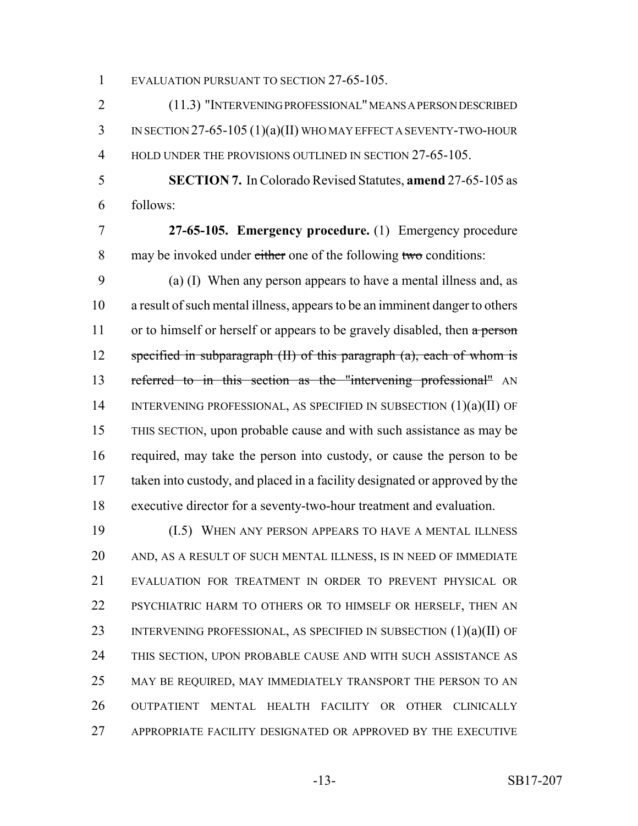EVALUATION PURSUANT TO SECTION 27-65-105.

 (11.3) "INTERVENING PROFESSIONAL" MEANS A PERSON DESCRIBED IN SECTION 27-65-105 (1)(a)(II) WHO MAY EFFECT A SEVENTY-TWO-HOUR 4 HOLD UNDER THE PROVISIONS OUTLINED IN SECTION 27-65-105.

 **SECTION 7.** In Colorado Revised Statutes, **amend** 27-65-105 as follows:

 **27-65-105. Emergency procedure.** (1) Emergency procedure 8 may be invoked under either one of the following two conditions:

 (a) (I) When any person appears to have a mental illness and, as a result of such mental illness, appears to be an imminent danger to others 11 or to himself or herself or appears to be gravely disabled, then  $\alpha$  person 12 specified in subparagraph (II) of this paragraph (a), each of whom is 13 referred to in this section as the "intervening professional" AN 14 INTERVENING PROFESSIONAL, AS SPECIFIED IN SUBSECTION (1)(a)(II) OF THIS SECTION, upon probable cause and with such assistance as may be required, may take the person into custody, or cause the person to be taken into custody, and placed in a facility designated or approved by the executive director for a seventy-two-hour treatment and evaluation.

 (I.5) WHEN ANY PERSON APPEARS TO HAVE A MENTAL ILLNESS AND, AS A RESULT OF SUCH MENTAL ILLNESS, IS IN NEED OF IMMEDIATE EVALUATION FOR TREATMENT IN ORDER TO PREVENT PHYSICAL OR PSYCHIATRIC HARM TO OTHERS OR TO HIMSELF OR HERSELF, THEN AN 23 INTERVENING PROFESSIONAL, AS SPECIFIED IN SUBSECTION (1)(a)(II) OF THIS SECTION, UPON PROBABLE CAUSE AND WITH SUCH ASSISTANCE AS MAY BE REQUIRED, MAY IMMEDIATELY TRANSPORT THE PERSON TO AN OUTPATIENT MENTAL HEALTH FACILITY OR OTHER CLINICALLY APPROPRIATE FACILITY DESIGNATED OR APPROVED BY THE EXECUTIVE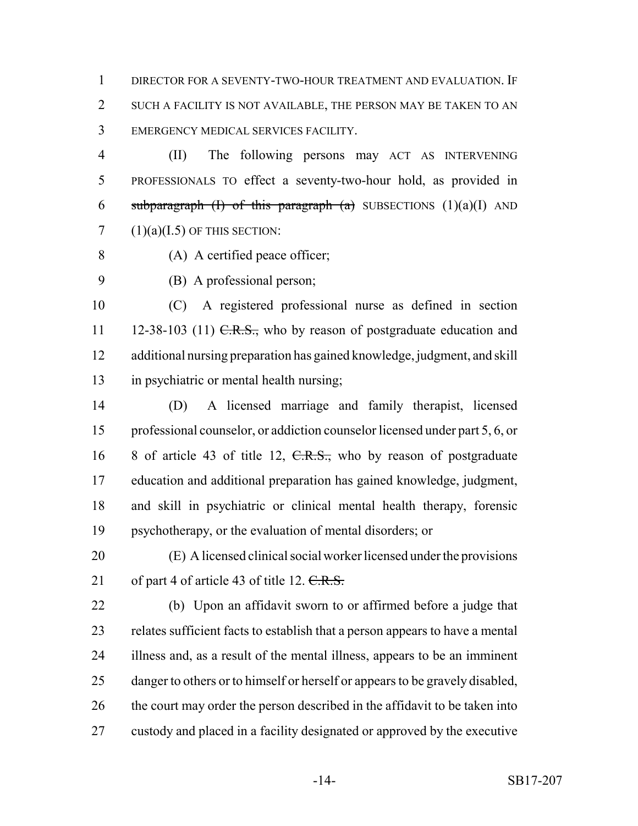DIRECTOR FOR A SEVENTY-TWO-HOUR TREATMENT AND EVALUATION. IF SUCH A FACILITY IS NOT AVAILABLE, THE PERSON MAY BE TAKEN TO AN EMERGENCY MEDICAL SERVICES FACILITY.

 (II) The following persons may ACT AS INTERVENING PROFESSIONALS TO effect a seventy-two-hour hold, as provided in 6 subparagraph (I) of this paragraph (a) SUBSECTIONS  $(1)(a)(I)$  AND  $(1)(a)(I.5)$  OF THIS SECTION:

- (A) A certified peace officer;
- 

(B) A professional person;

 (C) A registered professional nurse as defined in section 11 12-38-103 (11)  $C.R.S.,$  who by reason of postgraduate education and additional nursing preparation has gained knowledge, judgment, and skill in psychiatric or mental health nursing;

 (D) A licensed marriage and family therapist, licensed professional counselor, or addiction counselor licensed under part 5, 6, or 16 8 of article 43 of title 12, C.R.S., who by reason of postgraduate education and additional preparation has gained knowledge, judgment, and skill in psychiatric or clinical mental health therapy, forensic psychotherapy, or the evaluation of mental disorders; or

 (E) A licensed clinical social worker licensed under the provisions 21 of part 4 of article 43 of title 12.  $C.R.S.$ 

 (b) Upon an affidavit sworn to or affirmed before a judge that relates sufficient facts to establish that a person appears to have a mental illness and, as a result of the mental illness, appears to be an imminent 25 danger to others or to himself or herself or appears to be gravely disabled, 26 the court may order the person described in the affidavit to be taken into custody and placed in a facility designated or approved by the executive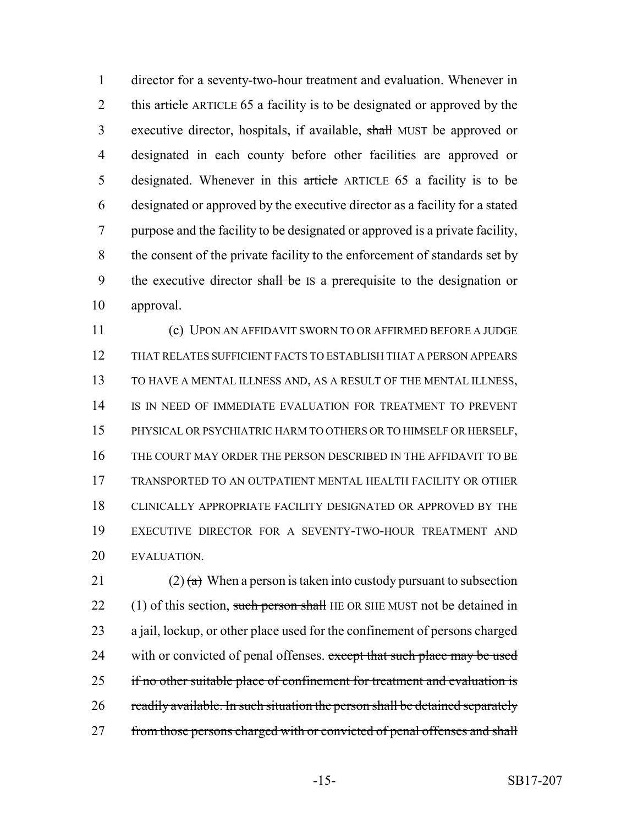director for a seventy-two-hour treatment and evaluation. Whenever in 2 this article ARTICLE 65 a facility is to be designated or approved by the executive director, hospitals, if available, shall MUST be approved or designated in each county before other facilities are approved or 5 designated. Whenever in this article ARTICLE 65 a facility is to be designated or approved by the executive director as a facility for a stated purpose and the facility to be designated or approved is a private facility, the consent of the private facility to the enforcement of standards set by 9 the executive director shall be IS a prerequisite to the designation or approval.

 (c) UPON AN AFFIDAVIT SWORN TO OR AFFIRMED BEFORE A JUDGE THAT RELATES SUFFICIENT FACTS TO ESTABLISH THAT A PERSON APPEARS TO HAVE A MENTAL ILLNESS AND, AS A RESULT OF THE MENTAL ILLNESS, 14 IS IN NEED OF IMMEDIATE EVALUATION FOR TREATMENT TO PREVENT PHYSICAL OR PSYCHIATRIC HARM TO OTHERS OR TO HIMSELF OR HERSELF, THE COURT MAY ORDER THE PERSON DESCRIBED IN THE AFFIDAVIT TO BE TRANSPORTED TO AN OUTPATIENT MENTAL HEALTH FACILITY OR OTHER CLINICALLY APPROPRIATE FACILITY DESIGNATED OR APPROVED BY THE EXECUTIVE DIRECTOR FOR A SEVENTY-TWO-HOUR TREATMENT AND EVALUATION.

21 (2)  $\left(\frac{a}{b}\right)$  When a person is taken into custody pursuant to subsection 22 (1) of this section, such person shall HE OR SHE MUST not be detained in a jail, lockup, or other place used for the confinement of persons charged 24 with or convicted of penal offenses. except that such place may be used 25 if no other suitable place of confinement for treatment and evaluation is 26 readily available. In such situation the person shall be detained separately 27 from those persons charged with or convicted of penal offenses and shall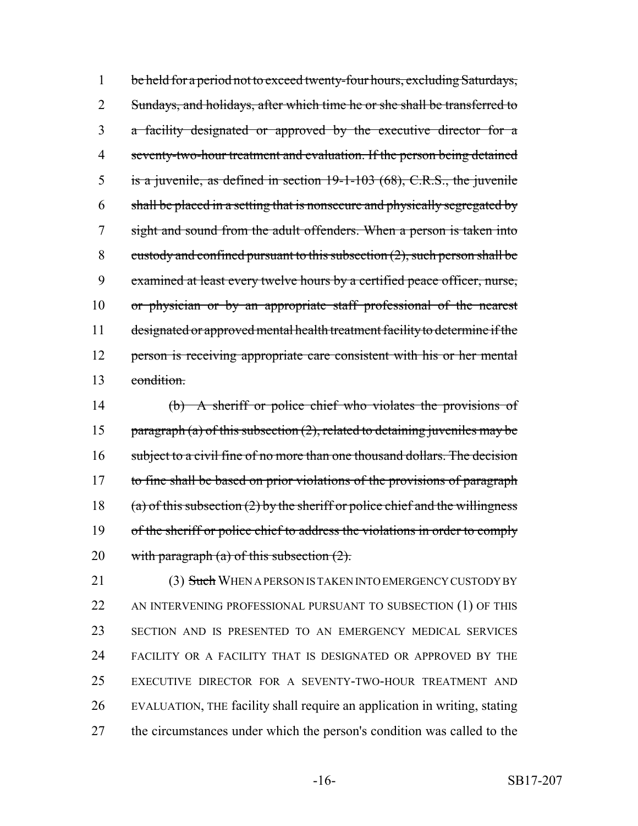1 be held for a period not to exceed twenty-four hours, excluding Saturdays, 2 Sundays, and holidays, after which time he or she shall be transferred to a facility designated or approved by the executive director for a seventy-two-hour treatment and evaluation. If the person being detained is a juvenile, as defined in section 19-1-103 (68), C.R.S., the juvenile shall be placed in a setting that is nonsecure and physically segregated by sight and sound from the adult offenders. When a person is taken into 8 custody and confined pursuant to this subsection  $(2)$ , such person shall be examined at least every twelve hours by a certified peace officer, nurse, or physician or by an appropriate staff professional of the nearest designated or approved mental health treatment facility to determine if the 12 person is receiving appropriate care consistent with his or her mental condition.

14 (b) A sheriff or police chief who violates the provisions of 15 paragraph (a) of this subsection  $(2)$ , related to detaining juveniles may be 16 subject to a civil fine of no more than one thousand dollars. The decision 17 to fine shall be based on prior violations of the provisions of paragraph 18 (a) of this subsection  $(2)$  by the sheriff or police chief and the willingness 19 of the sheriff or police chief to address the violations in order to comply 20 with paragraph  $(a)$  of this subsection  $(2)$ .

21 (3) Such WHEN A PERSON IS TAKEN INTO EMERGENCY CUSTODY BY 22 AN INTERVENING PROFESSIONAL PURSUANT TO SUBSECTION (1) OF THIS SECTION AND IS PRESENTED TO AN EMERGENCY MEDICAL SERVICES FACILITY OR A FACILITY THAT IS DESIGNATED OR APPROVED BY THE EXECUTIVE DIRECTOR FOR A SEVENTY-TWO-HOUR TREATMENT AND EVALUATION, THE facility shall require an application in writing, stating the circumstances under which the person's condition was called to the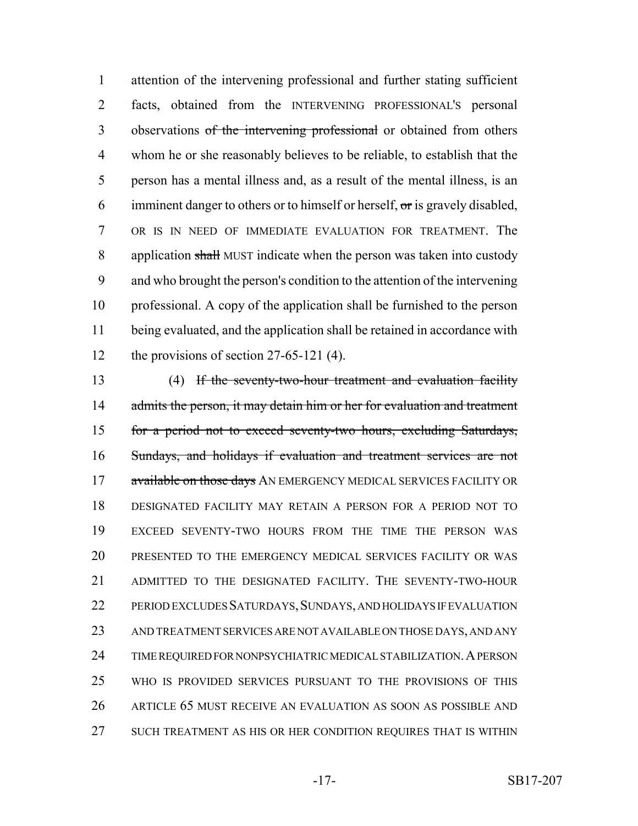attention of the intervening professional and further stating sufficient facts, obtained from the INTERVENING PROFESSIONAL'S personal 3 observations of the intervening professional or obtained from others whom he or she reasonably believes to be reliable, to establish that the person has a mental illness and, as a result of the mental illness, is an 6 imminent danger to others or to himself or herself,  $\sigma$ r is gravely disabled, OR IS IN NEED OF IMMEDIATE EVALUATION FOR TREATMENT. The 8 application shall MUST indicate when the person was taken into custody and who brought the person's condition to the attention of the intervening professional. A copy of the application shall be furnished to the person being evaluated, and the application shall be retained in accordance with 12 the provisions of section 27-65-121 (4).

 (4) If the seventy-two-hour treatment and evaluation facility 14 admits the person, it may detain him or her for evaluation and treatment for a period not to exceed seventy-two hours, excluding Saturdays, Sundays, and holidays if evaluation and treatment services are not 17 available on those days AN EMERGENCY MEDICAL SERVICES FACILITY OR DESIGNATED FACILITY MAY RETAIN A PERSON FOR A PERIOD NOT TO EXCEED SEVENTY-TWO HOURS FROM THE TIME THE PERSON WAS PRESENTED TO THE EMERGENCY MEDICAL SERVICES FACILITY OR WAS ADMITTED TO THE DESIGNATED FACILITY. THE SEVENTY-TWO-HOUR 22 PERIOD EXCLUDES SATURDAYS, SUNDAYS, AND HOLIDAYS IF EVALUATION AND TREATMENT SERVICES ARE NOT AVAILABLE ON THOSE DAYS, AND ANY 24 TIME REQUIRED FOR NONPSYCHIATRIC MEDICAL STABILIZATION. A PERSON WHO IS PROVIDED SERVICES PURSUANT TO THE PROVISIONS OF THIS ARTICLE 65 MUST RECEIVE AN EVALUATION AS SOON AS POSSIBLE AND SUCH TREATMENT AS HIS OR HER CONDITION REQUIRES THAT IS WITHIN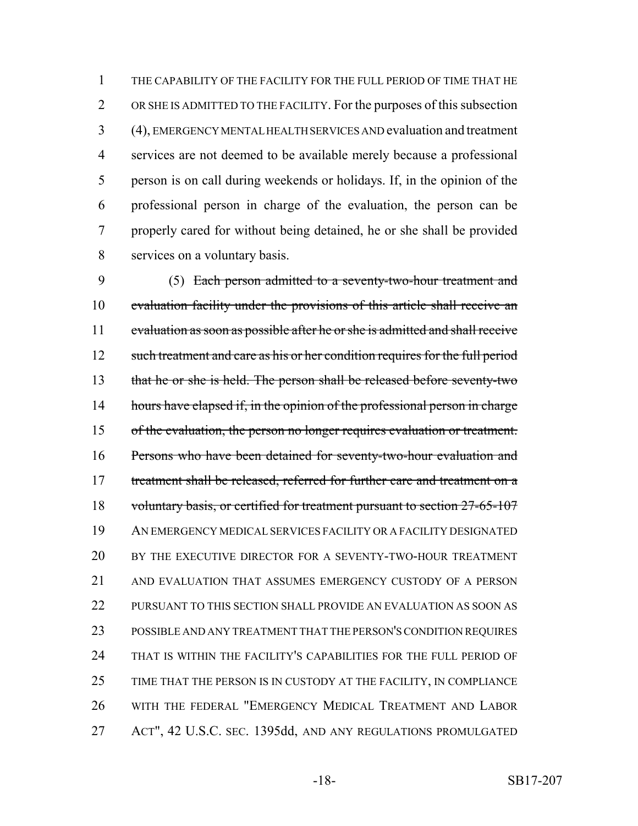THE CAPABILITY OF THE FACILITY FOR THE FULL PERIOD OF TIME THAT HE OR SHE IS ADMITTED TO THE FACILITY. For the purposes of this subsection (4), EMERGENCY MENTAL HEALTH SERVICES AND evaluation and treatment services are not deemed to be available merely because a professional person is on call during weekends or holidays. If, in the opinion of the professional person in charge of the evaluation, the person can be properly cared for without being detained, he or she shall be provided services on a voluntary basis.

 (5) Each person admitted to a seventy-two-hour treatment and 10 evaluation facility under the provisions of this article shall receive an evaluation as soon as possible after he or she is admitted and shall receive 12 such treatment and care as his or her condition requires for the full period that he or she is held. The person shall be released before seventy-two 14 hours have elapsed if, in the opinion of the professional person in charge of the evaluation, the person no longer requires evaluation or treatment. Persons who have been detained for seventy-two-hour evaluation and 17 treatment shall be released, referred for further care and treatment on a 18 voluntary basis, or certified for treatment pursuant to section 27-65-107 AN EMERGENCY MEDICAL SERVICES FACILITY OR A FACILITY DESIGNATED BY THE EXECUTIVE DIRECTOR FOR A SEVENTY-TWO-HOUR TREATMENT AND EVALUATION THAT ASSUMES EMERGENCY CUSTODY OF A PERSON PURSUANT TO THIS SECTION SHALL PROVIDE AN EVALUATION AS SOON AS POSSIBLE AND ANY TREATMENT THAT THE PERSON'S CONDITION REQUIRES THAT IS WITHIN THE FACILITY'S CAPABILITIES FOR THE FULL PERIOD OF TIME THAT THE PERSON IS IN CUSTODY AT THE FACILITY, IN COMPLIANCE WITH THE FEDERAL "EMERGENCY MEDICAL TREATMENT AND LABOR ACT", 42 U.S.C. SEC. 1395dd, AND ANY REGULATIONS PROMULGATED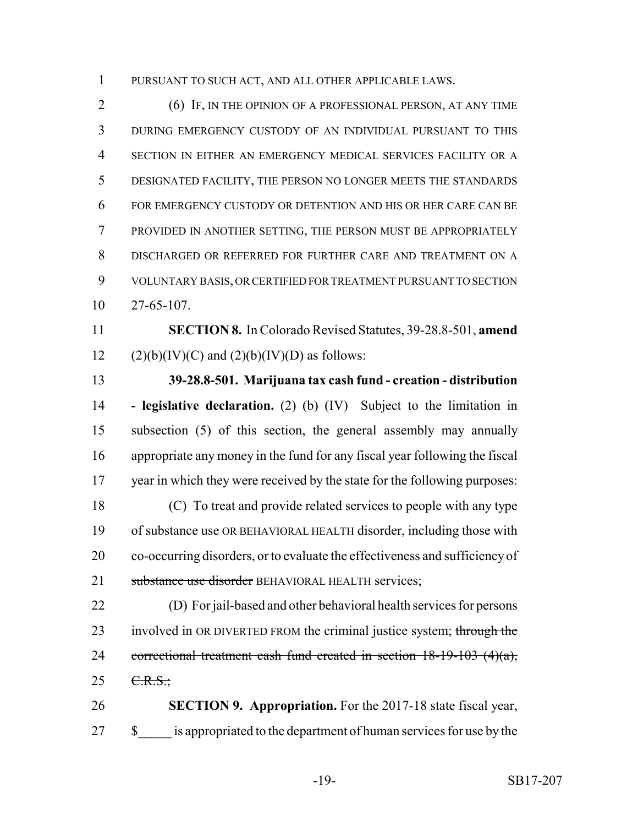PURSUANT TO SUCH ACT, AND ALL OTHER APPLICABLE LAWS.

 (6) IF, IN THE OPINION OF A PROFESSIONAL PERSON, AT ANY TIME DURING EMERGENCY CUSTODY OF AN INDIVIDUAL PURSUANT TO THIS SECTION IN EITHER AN EMERGENCY MEDICAL SERVICES FACILITY OR A DESIGNATED FACILITY, THE PERSON NO LONGER MEETS THE STANDARDS FOR EMERGENCY CUSTODY OR DETENTION AND HIS OR HER CARE CAN BE PROVIDED IN ANOTHER SETTING, THE PERSON MUST BE APPROPRIATELY DISCHARGED OR REFERRED FOR FURTHER CARE AND TREATMENT ON A VOLUNTARY BASIS, OR CERTIFIED FOR TREATMENT PURSUANT TO SECTION 27-65-107.

 **SECTION 8.** In Colorado Revised Statutes, 39-28.8-501, **amend** 12 (2)(b)(IV)(C) and (2)(b)(IV)(D) as follows:

 **39-28.8-501. Marijuana tax cash fund - creation - distribution - legislative declaration.** (2) (b) (IV) Subject to the limitation in subsection (5) of this section, the general assembly may annually appropriate any money in the fund for any fiscal year following the fiscal year in which they were received by the state for the following purposes: (C) To treat and provide related services to people with any type of substance use OR BEHAVIORAL HEALTH disorder, including those with co-occurring disorders, or to evaluate the effectiveness and sufficiency of 21 substance use disorder BEHAVIORAL HEALTH services:

 (D) For jail-based and other behavioral health services for persons 23 involved in OR DIVERTED FROM the criminal justice system; through the 24 correctional treatment cash fund created in section  $18-19-103$  (4)(a),  $25 \t C.R.S.$ ;

 **SECTION 9. Appropriation.** For the 2017-18 state fiscal year, 27 \$ is appropriated to the department of human services for use by the